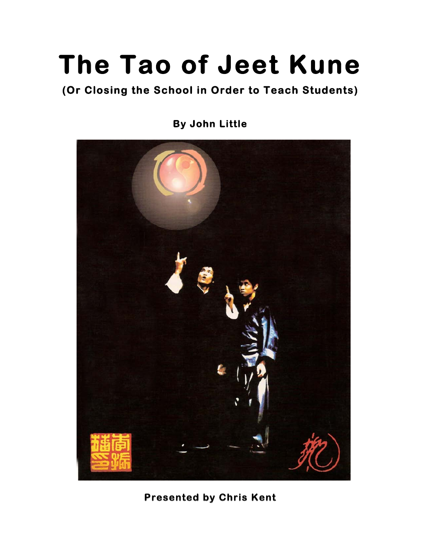# **The Tao of Jeet Kune**

## **(Or Closing the School in Order to Teach Students)**

**By John Little** 



### **Presented by Chris Kent**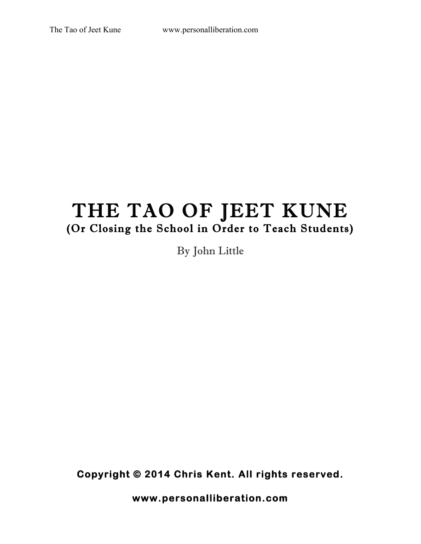# THE TAO OF JEET KUNE (Or Closing the School in Order to Teach Students)

By John Little

**Copyright © 2014 Chris Kent. All rights reserved.** 

**www.personalliberation.com**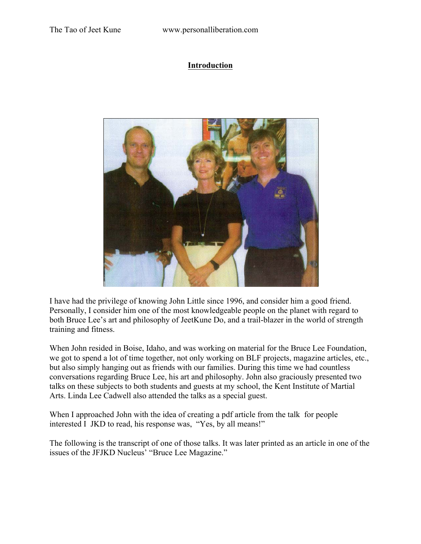#### **Introduction**



I have had the privilege of knowing John Little since 1996, and consider him a good friend. Personally, I consider him one of the most knowledgeable people on the planet with regard to both Bruce Lee's art and philosophy of JeetKune Do, and a trail-blazer in the world of strength training and fitness.

When John resided in Boise, Idaho, and was working on material for the Bruce Lee Foundation, we got to spend a lot of time together, not only working on BLF projects, magazine articles, etc., but also simply hanging out as friends with our families. During this time we had countless conversations regarding Bruce Lee, his art and philosophy. John also graciously presented two talks on these subjects to both students and guests at my school, the Kent Institute of Martial Arts. Linda Lee Cadwell also attended the talks as a special guest.

When I approached John with the idea of creating a pdf article from the talk for people interested I JKD to read, his response was, "Yes, by all means!"

The following is the transcript of one of those talks. It was later printed as an article in one of the issues of the JFJKD Nucleus' "Bruce Lee Magazine."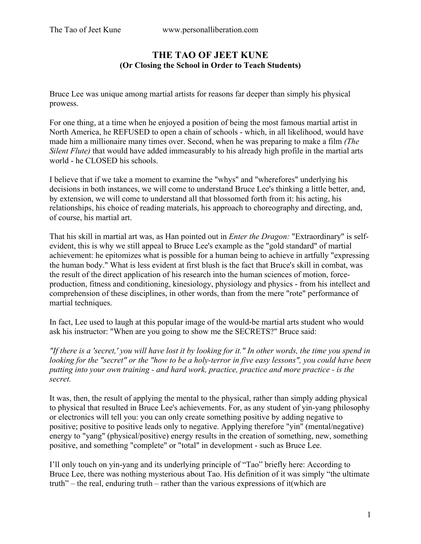#### **THE TAO OF JEET KUNE (Or Closing the School in Order to Teach Students)**

Bruce Lee was unique among martial artists for reasons far deeper than simply his physical prowess.

For one thing, at a time when he enjoyed a position of being the most famous martial artist in North America, he REFUSED to open a chain of schools - which, in all likelihood, would have made him a millionaire many times over. Second, when he was preparing to make a film *(The Silent Flute)* that would have added immeasurably to his already high profile in the martial arts world - he CLOSED his schools.

I believe that if we take a moment to examine the "whys" and "wherefores" underlying his decisions in both instances, we will come to understand Bruce Lee's thinking a little better, and, by extension, we will come to understand all that blossomed forth from it: his acting, his relationships, his choice of reading materials, his approach to choreography and directing, and, of course, his martial art.

That his skill in martial art was, as Han pointed out in *Enter the Dragon:* "Extraordinary" is selfevident, this is why we still appeal to Bruce Lee's example as the "gold standard" of martial achievement: he epitomizes what is possible for a human being to achieve in artfully "expressing the human body." What is less evident at first blush is the fact that Bruce's skill in combat, was the result of the direct application of his research into the human sciences of motion, forceproduction, fitness and conditioning, kinesiology, physiology and physics - from his intellect and comprehension of these disciplines, in other words, than from the mere "rote" performance of martial techniques.

In fact, Lee used to laugh at this popuIar image of the would-be martial arts student who would ask his instructor: "When are you going to show me the SECRETS?" Bruce said:

*"If there is a 'secret,' you will have lost it by looking for it." In other words, the time you spend in looking for the "secret" or the "how to be a holy-terror in five easy lessons", you could have been putting into your own training - and hard work, practice, practice and more practice - is the secret.* 

It was, then, the result of applying the mental to the physical, rather than simply adding physical to physical that resulted in Bruce Lee's achievements. For, as any student of yin-yang philosophy or electronics will tell you: you can only create something positive by adding negative to positive; positive to positive leads only to negative. Applying therefore "yin" (mental/negative) energy to "yang" (physical/positive) energy results in the creation of something, new, something positive, and something "complete" or "total" in development - such as Bruce Lee.

I'll only touch on yin-yang and its underlying principle of "Tao" briefly here: According to Bruce Lee, there was nothing mysterious about Tao. His definition of it was simply "the ultimate truth" – the real, enduring truth – rather than the various expressions of it(which are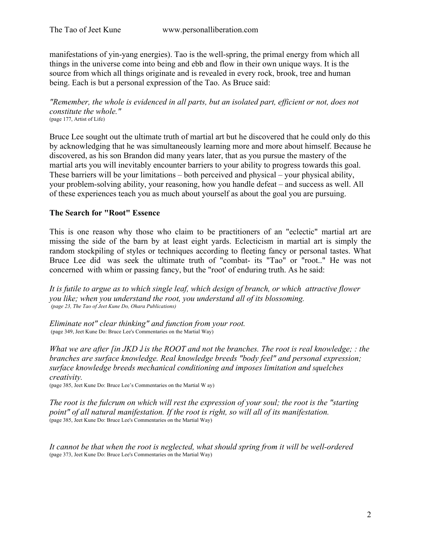manifestations of yin-yang energies). Tao is the well-spring, the primal energy from which all things in the universe come into being and ebb and flow in their own unique ways. It is the source from which all things originate and is revealed in every rock, brook, tree and human being. Each is but a personal expression of the Tao. As Bruce said:

*"Remember, the whole is evidenced in all parts, but an isolated part, efficient or not, does not constitute the whole."*  (page 177, Artist of Life)

Bruce Lee sought out the ultimate truth of martial art but he discovered that he could only do this by acknowledging that he was simultaneously learning more and more about himself. Because he discovered, as his son Brandon did many years later, that as you pursue the mastery of the martial arts you will inevitably encounter barriers to your ability to progress towards this goal. These barriers will be your limitations – both perceived and physical – your physical ability, your problem-solving ability, your reasoning, how you handle defeat – and success as well. All of these experiences teach you as much about yourself as about the goal you are pursuing.

#### **The Search for "Root" Essence**

This is one reason why those who claim to be practitioners of an "eclectic" martial art are missing the side of the barn by at least eight yards. Eclecticism in martial art is simply the random stockpiling of styles or techniques according to fleeting fancy or personal tastes. What Bruce Lee did was seek the ultimate truth of "combat- its "Tao" or "root.." He was not concerned with whim or passing fancy, but the "root' of enduring truth. As he said:

*It is futile to argue as to which single leaf, which design of branch, or which attractive flower you like; when you understand the root, you understand all of its blossoming. (page 23, The Tao of Jeet Kune Do, Ohara Publications)*

*Eliminate not" clear thinking" and function from your root.* (page 349, Jeet Kune Do: Bruce Lee's Commentaries on the Martial Way)

*What we are after [in JKD J is the ROOT and not the branches. The root is real knowledge; : the branches are surface knowledge. Real knowledge breeds "body feel" and personal expression; surface knowledge breeds mechanical conditioning and imposes limitation and squelches creativity.* 

(page 385, Jeet Kune Do: Bruce Lee's Commentaries on the Martial W ay)

*The root is the fulcrum on which will rest the expression of your soul; the root is the "starting point" of all natural manifestation. If the root is right, so will all of its manifestation.*  (page 385, Jeet Kune Do: Bruce Lee's Commentaries on the Martial Way)

*It cannot be that when the root is neglected, what should spring from it will be well-ordered*  (page 373, Jeet Kune Do: Bruce Lee's Commentaries on the Martial Way)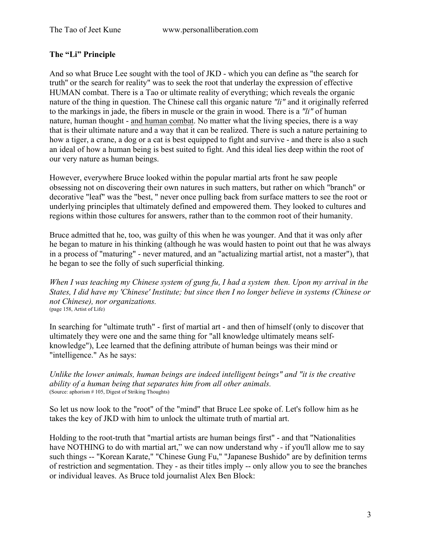#### **The "Li" Principle**

And so what Bruce Lee sought with the tool of JKD - which you can define as "the search for truth'' or the search for reality" was to seek the root that underlay the expression of effective HUMAN combat. There is a Tao or ultimate reality of everything; which reveals the organic nature of the thing in question. The Chinese call this organic nature *"li"* and it originally referred to the markings in jade, the fibers in muscle or the grain in wood. There is a *"li"* of human nature, human thought - and human combat. No matter what the living species, there is a way that is their ultimate nature and a way that it can be realized. There is such a nature pertaining to how a tiger, a crane, a dog or a cat is best equipped to fight and survive - and there is also a such an ideal of how a human being is best suited to fight. And this ideal lies deep within the root of our very nature as human beings.

However, everywhere Bruce looked within the popular martial arts front he saw people obsessing not on discovering their own natures in such matters, but rather on which "branch" or decorative "leaf" was the "best, " never once pulling back from surface matters to see the root or underlying principles that ultimately defined and empowered them. They looked to cultures and regions within those cultures for answers, rather than to the common root of their humanity.

Bruce admitted that he, too, was guilty of this when he was younger. And that it was only after he began to mature in his thinking (although he was would hasten to point out that he was always in a process of "maturing" - never matured, and an "actualizing martial artist, not a master"), that he began to see the folly of such superficial thinking.

*When I was teaching my Chinese system of gung fu, I had a system then. Upon my arrival in the States, I did have my 'Chinese' Institute; but since then I no longer believe in systems (Chinese or not Chinese), nor organizations.*  (page 158, Artist of Life)

In searching for "ultimate truth" - first of martial art - and then of himself (only to discover that ultimately they were one and the same thing for "all knowledge ultimately means selfknowledge"), Lee learned that the defining attribute of human beings was their mind or "intelligence." As he says:

*Unlike the lower animals, human beings are indeed intelligent beings" and "it is the creative ability of a human being that separates him from all other animals.* (Source: aphorism # 105, Digest of Striking Thoughts)

So let us now look to the "root" of the "mind" that Bruce Lee spoke of. Let's follow him as he takes the key of JKD with him to unlock the ultimate truth of martial art.

Holding to the root-truth that "martial artists are human beings first" - and that "Nationalities have NOTHING to do with martial art," we can now understand why - if you'll allow me to say such things -- "Korean Karate," "Chinese Gung Fu," "Japanese Bushido" are by definition terms of restriction and segmentation. They - as their titles imply -- only allow you to see the branches or individual leaves. As Bruce told journalist Alex Ben Block: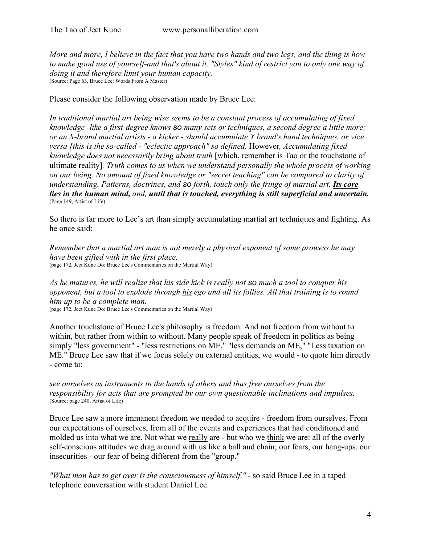*More and more, I believe in the fact that you have two hands and two legs, and the thing is how to make good use of yourself-and that's about it. "Styles" kind of restrict you to only one way of doing it and therefore limit your human capacity.*  (Source: Page 63, Bruce Lee: Words From A Master)

Please consider the following observation made by Bruce Lee:

*In traditional martial art being wise seems to be a constant process of accumulating of fixed knowledge -like a first-degree knows so many sets or techniques, a second degree a little more; or an X-brand martial artists - a kicker - should accumulate Y brand's hand techniques, or vice versa [this is the so-called - "eclectic approach" so defined.* However*, Accumulating fixed knowledge does not necessarily bring about truth* [which, remember is Tao or the touchstone of ultimate reality]*. Truth comes to us when we understand personally the whole process of working on our being. No amount of fixed knowledge or "secret teaching" can be compared to clarity of understanding. Patterns, doctrines, and so forth, touch only the fringe of martial art. Its core lies in the human mind, and, until that is touched, everything is still superficial and uncertain.* (Page 149, Artist of Life)

So there is far more to Lee's art than simply accumulating martial art techniques and fighting. As he once said:

*Remember that a martial art man is not merely a physical exponent of some prowess he may have been gifted with in the first place.*  (page 172, Jeet Kune Do: Bruce Lee's Commentaries on the Martial Way)

*As he matures, he will realize that his side kick is really not so much a tool to conquer his opponent, but a tool to explode through his ego and all its follies. All that training is to round him up to be a complete man.* 

(page 172, Jeet Kune Do: Bruce Lee's Commentaries on the Martial Way)

Another touchstone of Bruce Lee's philosophy is freedom. And not freedom from without to within, but rather from within to without. Many people speak of freedom in politics as being simply "less government" - "less restrictions on ME," "less demands on ME," "Less taxation on ME." Bruce Lee saw that if we focus solely on external entities, we would - to quote him directly - come to:

*see ourselves as instruments in the hands of others and thus free ourselves from the responsibility for acts that are prompted by our own questionable inclinations and impulses.*  (Source: page 240, Artist of Life)

Bruce Lee saw a more immanent freedom we needed to acquire - freedom from ourselves. From our expectations of ourselves, from all of the events and experiences that had conditioned and molded us into what we are. Not what we really are - but who we think we are: all of the overly self-conscious attitudes we drag around with us like a ball and chain; our fears, our hang-ups, our insecurities - our fear of being different from the "group."

*"What man has to get over is the consciousness of himself,"* - so said Bruce Lee in a taped telephone conversation with student Daniel Lee.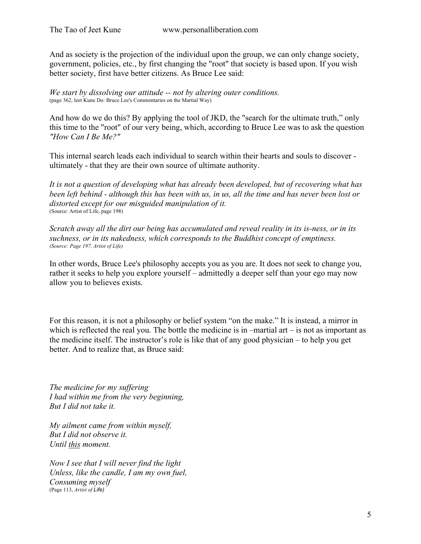And as society is the projection of the individual upon the group, we can only change society, government, policies, etc., by first changing the "root" that society is based upon. If you wish better society, first have better citizens. As Bruce Lee said:

*We start by dissolving our attitude -- not by altering outer conditions.*  (page 362, leet Kune Do: Bruce Lee's Commentaries on the Martial Way)

And how do we do this? By applying the tool of JKD, the "search for the ultimate truth," only this time to the "root" of our very being, which, according to Bruce Lee was to ask the question *"How Can I Be Me?"* 

This internal search leads each individual to search within their hearts and souls to discover ultimately - that they are their own source of ultimate authority.

*It is not a question of developing what has already been developed, but of recovering what has been left behind - although this has been with us, in us, all the time and has never been lost or distorted except for our misguided manipulation of it.*  (Source: Artist of Life, page 198)

*Scratch away all the dirt our being has accumulated and reveal reality in its is-ness, or in its suchness, or in its nakedness, which corresponds to the Buddhist concept of emptiness. (Source: Page 197, Artist of Life)* 

In other words, Bruce Lee's philosophy accepts you as you are. It does not seek to change you, rather it seeks to help you explore yourself – admittedly a deeper self than your ego may now allow you to believes exists.

For this reason, it is not a philosophy or belief system "on the make." It is instead, a mirror in which is reflected the real you. The bottle the medicine is in  $-$ martial art  $-$  is not as important as the medicine itself. The instructor's role is like that of any good physician – to help you get better. And to realize that, as Bruce said:

*The medicine for my suffering I had within me from the very beginning, But I did not take it.* 

*My ailment came from within myself, But I did not observe it. Until this moment.*

*Now I see that I will never find the light Unless, like the candle, I am my own fuel, Consuming myself*  (Page 113, *Artist of Life)*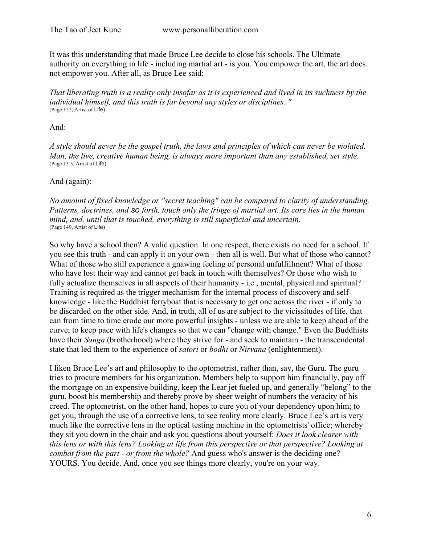It was this understanding that made Bruce Lee decide to close his schools. The Ultimate authority on everything in life - including martial art - is you. You empower the art, the art does not empower you. After all, as Bruce Lee said:

*That liberating truth is a reality only insofar as it is experienced and lived in its suchness by the individual himself, and this truth is far beyond any styles or disciplines. "*  (Page 152, Artist of Life)

And:

*A style should never be the gospel truth, the laws and principles of which can never be violated. Man, the live, creative human being, is always more important than any established, set style.*  (Page 13 5, Artist of Life)

And (again):

*No amount of fixed knowledge or "secret teaching" can be compared to clarity of understanding. Patterns, doctrines, and so forth, touch only the fringe of martial art. Its core lies in the human mind, and, until that is touched, everything is still superficial and uncertain.*  (Page 149, Artist of Life)

So why have a school then? A valid question. In one respect, there exists no need for a school. If you see this truth - and can apply it on your own - then all is well. But what of those who cannot? What of those who still experience a gnawing feeling of personal unfulfillment? What of those who have lost their way and cannot get back in touch with themselves? Or those who wish to fully actualize themselves in all aspects of their humanity - i.e., mental, physical and spiritual? Training is required as the trigger mechanism for the internal process of discovery and selfknowledge - like the Buddhist ferryboat that is necessary to get one across the river - if only to be discarded on the other side. And, in truth, all of us are subject to the vicissitudes of life, that can from time to time erode our more powerful insights - unless we are able to keep ahead of the curve; to keep pace with life's changes so that we can "change with change." Even the Buddhists have their *Sanga* (brotherhood) where they strive for - and seek to maintain - the transcendental state that led them to the experience of *satori* or *bodhi* or *Nirvana* (enlightenment).

I liken Bruce Lee's art and philosophy to the optometrist, rather than, say, the Guru. The guru tries to procure members for his organization. Members help to support him financially, pay off the mortgage on an expensive building, keep the Lear jet fueled up, and generally "belong" to the guru, boost his membership and thereby prove by sheer weight of numbers the veracity of his creed. The optometrist, on the other hand, hopes to cure you of your dependency upon him; to get you, through the use of a corrective lens, to see reality more clearly. Bruce Lee's art is very much like the corrective lens in the optical testing machine in the optometrists' office; whereby they sit you down in the chair and ask you questions about yourself: *Does it look clearer with this lens or with this lens? Looking at life from this perspective or that perspective? Looking at combat from the part - or from the whole?* And guess who's answer is the deciding one? YOURS. You decide. And, once you see things more clearly, you're on your way.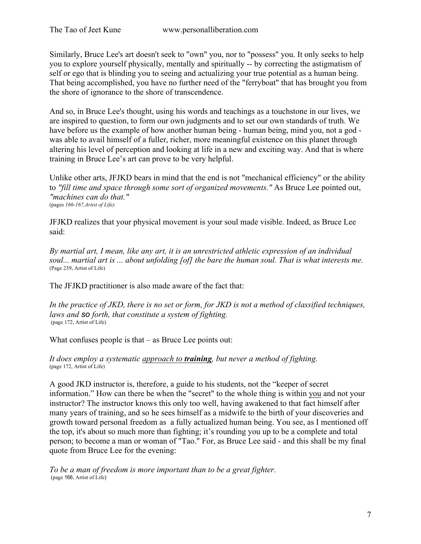Similarly, Bruce Lee's art doesn't seek to "own" you, nor to "possess" you. It only seeks to help you to explore yourself physically, mentally and spiritually -- by correcting the astigmatism of self or ego that is blinding you to seeing and actualizing your true potential as a human being. That being accomplished, you have no further need of the "ferryboat" that has brought you from the shore of ignorance to the shore of transcendence.

And so, in Bruce Lee's thought, using his words and teachings as a touchstone in our lives, we are inspired to question, to form our own judgments and to set our own standards of truth. We have before us the example of how another human being - human being, mind you, not a god was able to avail himself of a fuller, richer, more meaningful existence on this planet through altering his level of perception and looking at life in a new and exciting way. And that is where training in Bruce Lee's art can prove to be very helpful.

Unlike other arts, JFJKD bears in mind that the end is not "mechanical efficiency" or the ability to *"fill time and space through some sort of organized movements."* As Bruce Lee pointed out, *"machines can do that."*  (pages *166-167,Artist of Life).* 

JFJKD realizes that your physical movement is your soul made visible. Indeed, as Bruce Lee said:

*By martial art, I mean, like any art, it is an unrestricted athletic expression of an individual*  soul... martial art is ... about unfolding [of] the bare the human soul. That is what interests me. (Page 239, Artist of Life)

The JFJKD practitioner is also made aware of the fact that:

*In the practice of JKD, there is no set or form, for JKD is not a method of classified techniques, laws and so forth, that constitute a system of fighting.* (page 172, Artist of Life)

What confuses people is that – as Bruce Lee points out:

*It does employ a systematic approach to training, but never a method of fighting.*  (page 172, Artist of Life)

A good JKD instructor is, therefore, a guide to his students, not the "keeper of secret information." How can there be when the "secret" to the whole thing is within you and not your instructor? The instructor knows this only too well, having awakened to that fact himself after many years of training, and so he sees himself as a midwife to the birth of your discoveries and growth toward personal freedom as a fully actualized human being. You see, as I mentioned off the top, it's about so much more than fighting; it's rounding you up to be a complete and total person; to become a man or woman of "Tao." For, as Bruce Lee said - and this shall be my final quote from Bruce Lee for the evening:

*To be a man of freedom is more important than to be a great fighter.* (page 166, Artist of Life)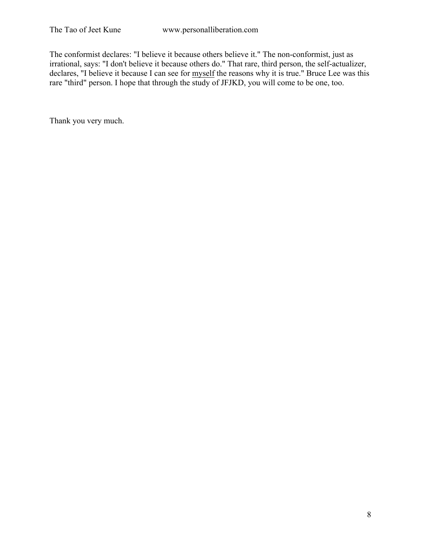The conformist declares: "I believe it because others believe it." The non-conformist, just as irrational, says: "I don't believe it because others do." That rare, third person, the self-actualizer, declares, "I believe it because I can see for myself the reasons why it is true." Bruce Lee was this rare "third" person. I hope that through the study of JFJKD, you will come to be one, too.

Thank you very much.